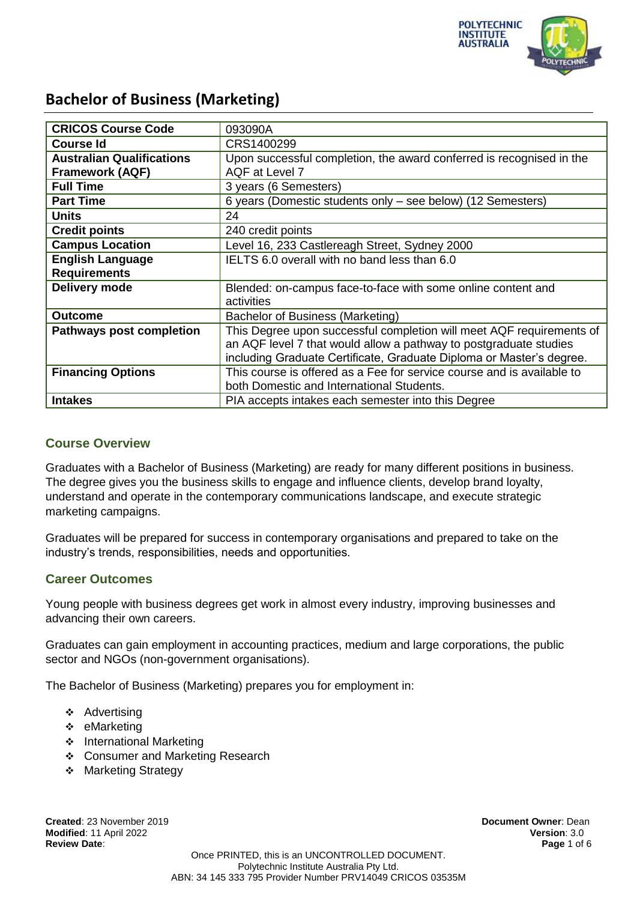

| <b>CRICOS Course Code</b>        | 093090A                                                                |  |
|----------------------------------|------------------------------------------------------------------------|--|
| <b>Course Id</b>                 | CRS1400299                                                             |  |
| <b>Australian Qualifications</b> | Upon successful completion, the award conferred is recognised in the   |  |
| <b>Framework (AQF)</b>           | AQF at Level 7                                                         |  |
| <b>Full Time</b>                 | 3 years (6 Semesters)                                                  |  |
| <b>Part Time</b>                 | 6 years (Domestic students only - see below) (12 Semesters)            |  |
| <b>Units</b>                     | 24                                                                     |  |
| <b>Credit points</b>             | 240 credit points                                                      |  |
| <b>Campus Location</b>           | Level 16, 233 Castlereagh Street, Sydney 2000                          |  |
| <b>English Language</b>          | IELTS 6.0 overall with no band less than 6.0                           |  |
| <b>Requirements</b>              |                                                                        |  |
| Delivery mode                    | Blended: on-campus face-to-face with some online content and           |  |
|                                  | activities                                                             |  |
| <b>Outcome</b>                   | Bachelor of Business (Marketing)                                       |  |
| <b>Pathways post completion</b>  | This Degree upon successful completion will meet AQF requirements of   |  |
|                                  | an AQF level 7 that would allow a pathway to postgraduate studies      |  |
|                                  | including Graduate Certificate, Graduate Diploma or Master's degree.   |  |
| <b>Financing Options</b>         | This course is offered as a Fee for service course and is available to |  |
|                                  | both Domestic and International Students.                              |  |
| <b>Intakes</b>                   | PIA accepts intakes each semester into this Degree                     |  |

### **Course Overview**

Graduates with a Bachelor of Business (Marketing) are ready for many different positions in business. The degree gives you the business skills to engage and influence clients, develop brand loyalty, understand and operate in the contemporary communications landscape, and execute strategic marketing campaigns.

Graduates will be prepared for success in contemporary organisations and prepared to take on the industry's trends, responsibilities, needs and opportunities.

### **Career Outcomes**

Young people with business degrees get work in almost every industry, improving businesses and advancing their own careers.

Graduates can gain employment in accounting practices, medium and large corporations, the public sector and NGOs (non-government organisations).

The Bachelor of Business (Marketing) prepares you for employment in:

- ❖ Advertising
- ❖ eMarketing
- ❖ International Marketing
- Consumer and Marketing Research
- **Marketing Strategy**

**Created**: 23 November 2019 **Document Owner**: Dean **Modified**: 11 April 2022 **Version**: 3.0 **Review Date**: **Page** 1 of 6

Once PRINTED, this is an UNCONTROLLED DOCUMENT. Polytechnic Institute Australia Pty Ltd. ABN: 34 145 333 795 Provider Number PRV14049 CRICOS 03535M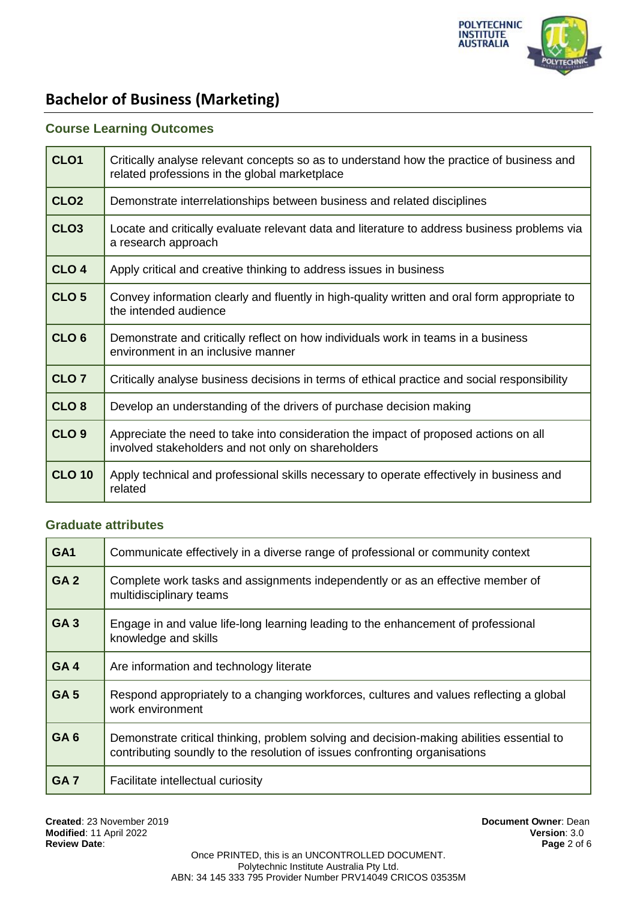

## **Course Learning Outcomes**

| CLO <sub>1</sub> | Critically analyse relevant concepts so as to understand how the practice of business and<br>related professions in the global marketplace |
|------------------|--------------------------------------------------------------------------------------------------------------------------------------------|
| CLO <sub>2</sub> | Demonstrate interrelationships between business and related disciplines                                                                    |
| CLO <sub>3</sub> | Locate and critically evaluate relevant data and literature to address business problems via<br>a research approach                        |
| CLO <sub>4</sub> | Apply critical and creative thinking to address issues in business                                                                         |
| CLO <sub>5</sub> | Convey information clearly and fluently in high-quality written and oral form appropriate to<br>the intended audience                      |
| CLO <sub>6</sub> | Demonstrate and critically reflect on how individuals work in teams in a business<br>environment in an inclusive manner                    |
| CLO <sub>7</sub> | Critically analyse business decisions in terms of ethical practice and social responsibility                                               |
| CLO <sub>8</sub> | Develop an understanding of the drivers of purchase decision making                                                                        |
| CLO <sub>9</sub> | Appreciate the need to take into consideration the impact of proposed actions on all<br>involved stakeholders and not only on shareholders |
| <b>CLO 10</b>    | Apply technical and professional skills necessary to operate effectively in business and<br>related                                        |

#### **Graduate attributes**

| GA <sub>1</sub> | Communicate effectively in a diverse range of professional or community context                                                                                         |  |  |
|-----------------|-------------------------------------------------------------------------------------------------------------------------------------------------------------------------|--|--|
| GA <sub>2</sub> | Complete work tasks and assignments independently or as an effective member of<br>multidisciplinary teams                                                               |  |  |
| <b>GA3</b>      | Engage in and value life-long learning leading to the enhancement of professional<br>knowledge and skills                                                               |  |  |
| GA4             | Are information and technology literate                                                                                                                                 |  |  |
| GA <sub>5</sub> | Respond appropriately to a changing workforces, cultures and values reflecting a global<br>work environment                                                             |  |  |
| GA <sub>6</sub> | Demonstrate critical thinking, problem solving and decision-making abilities essential to<br>contributing soundly to the resolution of issues confronting organisations |  |  |
| GA <sub>7</sub> | Facilitate intellectual curiosity                                                                                                                                       |  |  |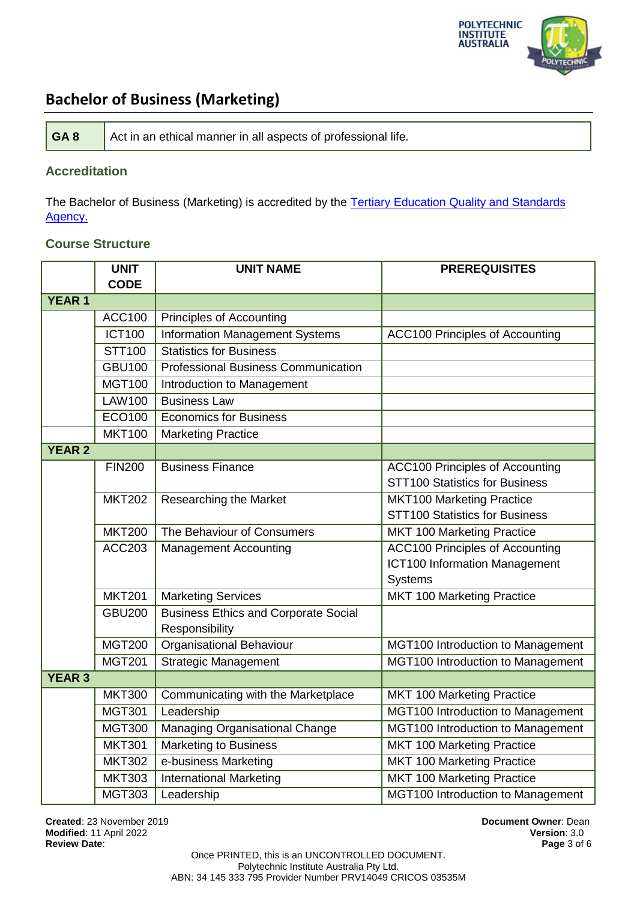

| GA8<br>Act in an ethical manner in all aspects of professional life. |
|----------------------------------------------------------------------|
|----------------------------------------------------------------------|

## **Accreditation**

The Bachelor of Business (Marketing) is accredited by the Tertiary Education Quality and Standards [Agency.](https://www.teqsa.gov.au/national-register/course/polytechnic-institute-australia-pty-ltd-0)

## **Course Structure**

|               | <b>UNIT</b>   | <b>UNIT NAME</b>                            | <b>PREREQUISITES</b>                   |
|---------------|---------------|---------------------------------------------|----------------------------------------|
|               | <b>CODE</b>   |                                             |                                        |
| <b>YEAR 1</b> |               |                                             |                                        |
|               | <b>ACC100</b> | Principles of Accounting                    |                                        |
|               | <b>ICT100</b> | <b>Information Management Systems</b>       | <b>ACC100 Principles of Accounting</b> |
|               | STT100        | <b>Statistics for Business</b>              |                                        |
|               | <b>GBU100</b> | <b>Professional Business Communication</b>  |                                        |
|               | <b>MGT100</b> | Introduction to Management                  |                                        |
|               | <b>LAW100</b> | <b>Business Law</b>                         |                                        |
|               | ECO100        | <b>Economics for Business</b>               |                                        |
|               | <b>MKT100</b> | <b>Marketing Practice</b>                   |                                        |
| <b>YEAR 2</b> |               |                                             |                                        |
|               | <b>FIN200</b> | <b>Business Finance</b>                     | <b>ACC100 Principles of Accounting</b> |
|               |               |                                             | <b>STT100 Statistics for Business</b>  |
|               | <b>MKT202</b> | <b>Researching the Market</b>               | <b>MKT100 Marketing Practice</b>       |
|               |               |                                             | <b>STT100 Statistics for Business</b>  |
|               | <b>MKT200</b> | The Behaviour of Consumers                  | MKT 100 Marketing Practice             |
|               | <b>ACC203</b> | <b>Management Accounting</b>                | <b>ACC100 Principles of Accounting</b> |
|               |               |                                             | <b>ICT100 Information Management</b>   |
|               |               |                                             | Systems                                |
|               | <b>MKT201</b> | <b>Marketing Services</b>                   | MKT 100 Marketing Practice             |
|               | <b>GBU200</b> | <b>Business Ethics and Corporate Social</b> |                                        |
|               |               | Responsibility                              |                                        |
|               | <b>MGT200</b> | <b>Organisational Behaviour</b>             | MGT100 Introduction to Management      |
|               | <b>MGT201</b> | <b>Strategic Management</b>                 | MGT100 Introduction to Management      |
| <b>YEAR 3</b> |               |                                             |                                        |
|               | <b>MKT300</b> | Communicating with the Marketplace          | MKT 100 Marketing Practice             |
|               | <b>MGT301</b> | Leadership                                  | MGT100 Introduction to Management      |
|               | <b>MGT300</b> | <b>Managing Organisational Change</b>       | MGT100 Introduction to Management      |
|               | <b>MKT301</b> | <b>Marketing to Business</b>                | MKT 100 Marketing Practice             |
|               | <b>MKT302</b> | e-business Marketing                        | MKT 100 Marketing Practice             |
|               | <b>MKT303</b> | International Marketing                     | <b>MKT 100 Marketing Practice</b>      |
|               | <b>MGT303</b> | Leadership                                  | MGT100 Introduction to Management      |

**Created**: 23 November 2019 **Document Owner**: Dean **Modified: 11 April 2022 Review Date**: **Page** 3 of 6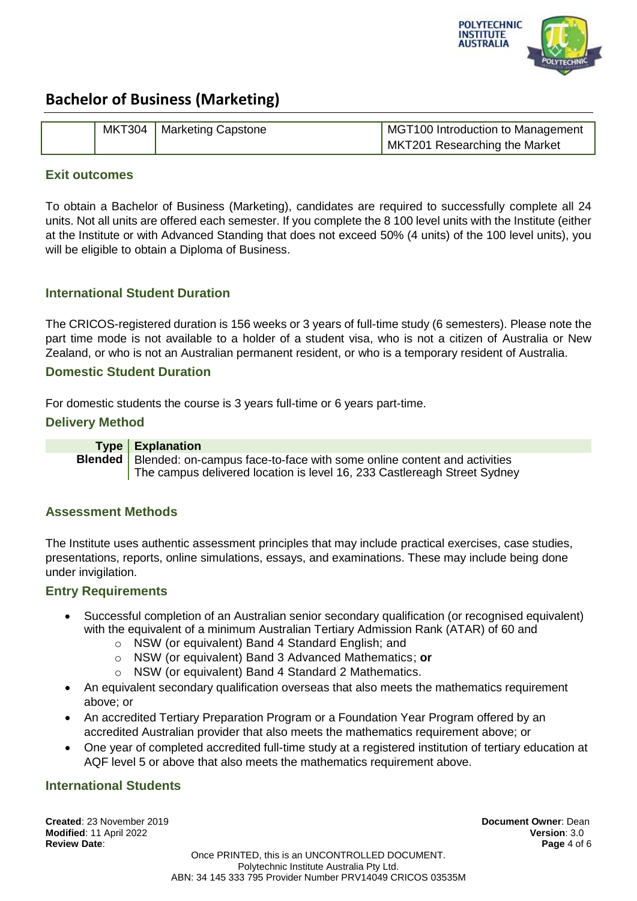

|  | MKT304   Marketing Capstone | MGT100 Introduction to Management |
|--|-----------------------------|-----------------------------------|
|  |                             | MKT201 Researching the Market     |

#### **Exit outcomes**

To obtain a Bachelor of Business (Marketing), candidates are required to successfully complete all 24 units. Not all units are offered each semester. If you complete the 8 100 level units with the Institute (either at the Institute or with Advanced Standing that does not exceed 50% (4 units) of the 100 level units), you will be eligible to obtain a Diploma of Business.

## **International Student Duration**

The CRICOS-registered duration is 156 weeks or 3 years of full-time study (6 semesters). Please note the part time mode is not available to a holder of a student visa, who is not a citizen of Australia or New Zealand, or who is not an Australian permanent resident, or who is a temporary resident of Australia.

#### **Domestic Student Duration**

For domestic students the course is 3 years full-time or 6 years part-time.

### **Delivery Method**

**Type Explanation Blended** Blended: on-campus face-to-face with some online content and activities The campus delivered location is level 16, 233 Castlereagh Street Sydney

### **Assessment Methods**

The Institute uses authentic assessment principles that may include practical exercises, case studies, presentations, reports, online simulations, essays, and examinations. These may include being done under invigilation.

### **Entry Requirements**

- Successful completion of an Australian senior secondary qualification (or recognised equivalent) with the equivalent of a minimum Australian Tertiary Admission Rank (ATAR) of 60 and
	- o NSW (or equivalent) Band 4 Standard English; and
	- o NSW (or equivalent) Band 3 Advanced Mathematics; **or**
		- NSW (or equivalent) Band 4 Standard 2 Mathematics.
- An equivalent secondary qualification overseas that also meets the mathematics requirement above; or
- An accredited Tertiary Preparation Program or a Foundation Year Program offered by an accredited Australian provider that also meets the mathematics requirement above; or
- One year of completed accredited full-time study at a registered institution of tertiary education at AQF level 5 or above that also meets the mathematics requirement above.

### **International Students**

**Created**: 23 November 2019 **Document Owner**: Dean **Modified**: 11 April 2022 **Version**: 3.0 **Review Date**: **Page** 4 of 6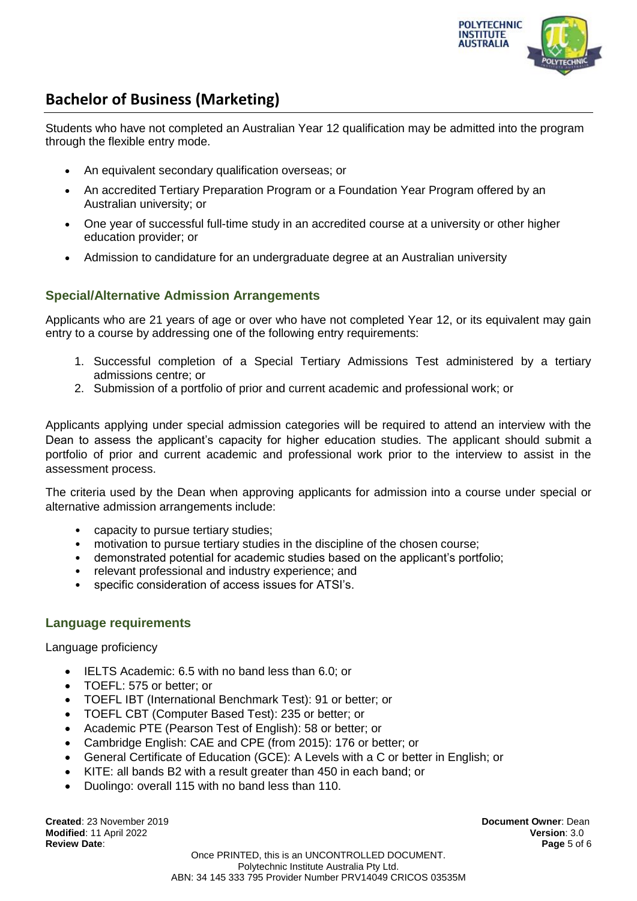

Students who have not completed an Australian Year 12 qualification may be admitted into the program through the flexible entry mode.

- An equivalent secondary qualification overseas; or
- An accredited Tertiary Preparation Program or a Foundation Year Program offered by an Australian university; or
- One year of successful full-time study in an accredited course at a university or other higher education provider; or
- Admission to candidature for an undergraduate degree at an Australian university

## **Special/Alternative Admission Arrangements**

Applicants who are 21 years of age or over who have not completed Year 12, or its equivalent may gain entry to a course by addressing one of the following entry requirements:

- 1. Successful completion of a Special Tertiary Admissions Test administered by a tertiary admissions centre; or
- 2. Submission of a portfolio of prior and current academic and professional work; or

Applicants applying under special admission categories will be required to attend an interview with the Dean to assess the applicant's capacity for higher education studies. The applicant should submit a portfolio of prior and current academic and professional work prior to the interview to assist in the assessment process.

The criteria used by the Dean when approving applicants for admission into a course under special or alternative admission arrangements include:

- capacity to pursue tertiary studies;
- motivation to pursue tertiary studies in the discipline of the chosen course;
- demonstrated potential for academic studies based on the applicant's portfolio;
- relevant professional and industry experience; and
- specific consideration of access issues for ATSI's.

### **Language requirements**

Language proficiency

- IELTS Academic: 6.5 with no band less than 6.0; or
- TOEFL: 575 or better: or
- TOEFL IBT (International Benchmark Test): 91 or better; or
- TOEFL CBT (Computer Based Test): 235 or better; or
- Academic PTE (Pearson Test of English): 58 or better; or
- Cambridge English: CAE and CPE (from 2015): 176 or better; or
- General Certificate of Education (GCE): A Levels with a C or better in English; or
- KITE: all bands B2 with a result greater than 450 in each band; or
- Duolingo: overall 115 with no band less than 110.

**Created**: 23 November 2019 **Document Owner**: Dean **Modified**: 11 April 2022 **Version**: 3.0 **Review Date**: **Page** 5 of 6